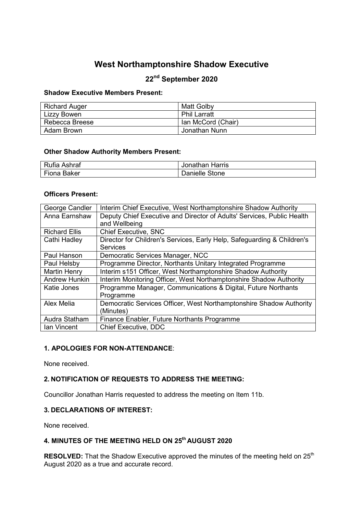# **West Northamptonshire Shadow Executive**

# **22nd September 2020**

#### **Shadow Executive Members Present:**

| <b>Richard Auger</b> | Matt Golby          |
|----------------------|---------------------|
| Lizzy Bowen          | <b>Phil Larratt</b> |
| Rebecca Breese       | Ian McCord (Chair)  |
| Adam Brown           | Jonathan Nunn       |

#### **Other Shadow Authority Members Present:**

| Rufia Ashraf | Jonathan Harris |
|--------------|-----------------|
| Fiona Baker  | Danielle Stone  |

#### **Officers Present:**

| George Candler       | Interim Chief Executive, West Northamptonshire Shadow Authority         |
|----------------------|-------------------------------------------------------------------------|
| Anna Earnshaw        | Deputy Chief Executive and Director of Adults' Services, Public Health  |
|                      | and Wellbeing                                                           |
| <b>Richard Ellis</b> | <b>Chief Executive, SNC</b>                                             |
| Cathi Hadley         | Director for Children's Services, Early Help, Safeguarding & Children's |
|                      | Services                                                                |
| Paul Hanson          | Democratic Services Manager, NCC                                        |
| Paul Helsby          | Programme Director, Northants Unitary Integrated Programme              |
| <b>Martin Henry</b>  | Interim s151 Officer, West Northamptonshire Shadow Authority            |
| <b>Andrew Hunkin</b> | Interim Monitoring Officer, West Northamptonshire Shadow Authority      |
| Katie Jones          | Programme Manager, Communications & Digital, Future Northants           |
|                      | Programme                                                               |
| Alex Melia           | Democratic Services Officer, West Northamptonshire Shadow Authority     |
|                      | (Minutes)                                                               |
| Audra Statham        | Finance Enabler, Future Northants Programme                             |
| Ian Vincent          | <b>Chief Executive, DDC</b>                                             |

#### **1. APOLOGIES FOR NON-ATTENDANCE**:

None received.

### **2. NOTIFICATION OF REQUESTS TO ADDRESS THE MEETING:**

Councillor Jonathan Harris requested to address the meeting on Item 11b.

#### **3. DECLARATIONS OF INTEREST:**

None received.

# **4. MINUTES OF THE MEETING HELD ON 25th AUGUST 2020**

**RESOLVED:** That the Shadow Executive approved the minutes of the meeting held on 25<sup>th</sup> August 2020 as a true and accurate record.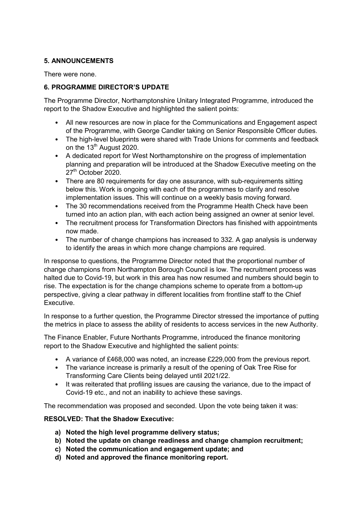### **5. ANNOUNCEMENTS**

There were none.

## **6. PROGRAMME DIRECTOR'S UPDATE**

The Programme Director, Northamptonshire Unitary Integrated Programme, introduced the report to the Shadow Executive and highlighted the salient points: 

- All new resources are now in place for the Communications and Engagement aspect of the Programme, with George Candler taking on Senior Responsible Officer duties.
- The high-level blueprints were shared with Trade Unions for comments and feedback on the  $13<sup>th</sup>$  August 2020.
- A dedicated report for West Northamptonshire on the progress of implementation planning and preparation will be introduced at the Shadow Executive meeting on the 27<sup>th</sup> October 2020.
- There are 80 requirements for day one assurance, with sub-requirements sitting below this. Work is ongoing with each of the programmes to clarify and resolve implementation issues. This will continue on a weekly basis moving forward.
- The 30 recommendations received from the Programme Health Check have been turned into an action plan, with each action being assigned an owner at senior level.
- The recruitment process for Transformation Directors has finished with appointments now made.
- The number of change champions has increased to 332. A gap analysis is underway to identify the areas in which more change champions are required.

In response to questions, the Programme Director noted that the proportional number of change champions from Northampton Borough Council is low. The recruitment process was halted due to Covid-19, but work in this area has now resumed and numbers should begin to rise. The expectation is for the change champions scheme to operate from a bottom-up perspective, giving a clear pathway in different localities from frontline staff to the Chief Executive.

In response to a further question, the Programme Director stressed the importance of putting the metrics in place to assess the ability of residents to access services in the new Authority.

The Finance Enabler, Future Northants Programme, introduced the finance monitoring report to the Shadow Executive and highlighted the salient points:

- A variance of £468,000 was noted, an increase £229,000 from the previous report.
- The variance increase is primarily a result of the opening of Oak Tree Rise for Transforming Care Clients being delayed until 2021/22.
- It was reiterated that profiling issues are causing the variance, due to the impact of Covid-19 etc., and not an inability to achieve these savings.

The recommendation was proposed and seconded. Upon the vote being taken it was:

#### **RESOLVED: That the Shadow Executive:**

- **a) Noted the high level programme delivery status;**
- **b) Noted the update on change readiness and change champion recruitment;**
- **c) Noted the communication and engagement update; and**
- **d) Noted and approved the finance monitoring report.**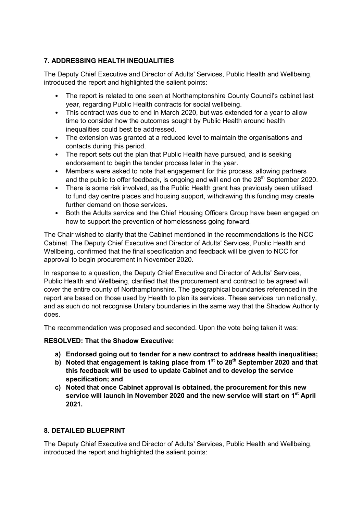# **7. ADDRESSING HEALTH INEQUALITIES**

The Deputy Chief Executive and Director of Adults' Services, Public Health and Wellbeing, introduced the report and highlighted the salient points:

- The report is related to one seen at Northamptonshire County Council's cabinet last year, regarding Public Health contracts for social wellbeing.
- This contract was due to end in March 2020, but was extended for a year to allow time to consider how the outcomes sought by Public Health around health inequalities could best be addressed.
- The extension was granted at a reduced level to maintain the organisations and contacts during this period.
- The report sets out the plan that Public Health have pursued, and is seeking endorsement to begin the tender process later in the year.
- Members were asked to note that engagement for this process, allowing partners and the public to offer feedback, is ongoing and will end on the 28<sup>th</sup> September 2020.
- There is some risk involved, as the Public Health grant has previously been utilised to fund day centre places and housing support, withdrawing this funding may create further demand on those services.
- Both the Adults service and the Chief Housing Officers Group have been engaged on how to support the prevention of homelessness going forward.

The Chair wished to clarify that the Cabinet mentioned in the recommendations is the NCC Cabinet. The Deputy Chief Executive and Director of Adults' Services, Public Health and Wellbeing, confirmed that the final specification and feedback will be given to NCC for approval to begin procurement in November 2020.

In response to a question, the Deputy Chief Executive and Director of Adults' Services, Public Health and Wellbeing, clarified that the procurement and contract to be agreed will cover the entire county of Northamptonshire. The geographical boundaries referenced in the report are based on those used by Health to plan its services. These services run nationally, and as such do not recognise Unitary boundaries in the same way that the Shadow Authority does.

The recommendation was proposed and seconded. Upon the vote being taken it was:

## **RESOLVED: That the Shadow Executive:**

- **a) Endorsed going out to tender for a new contract to address health inequalities;**
- **b) Noted that engagement is taking place from 1st to 28th September 2020 and that this feedback will be used to update Cabinet and to develop the service specification; and**
- **c) Noted that once Cabinet approval is obtained, the procurement for this new service will launch in November 2020 and the new service will start on 1st April 2021.**

## **8. DETAILED BLUEPRINT**

The Deputy Chief Executive and Director of Adults' Services, Public Health and Wellbeing, introduced the report and highlighted the salient points: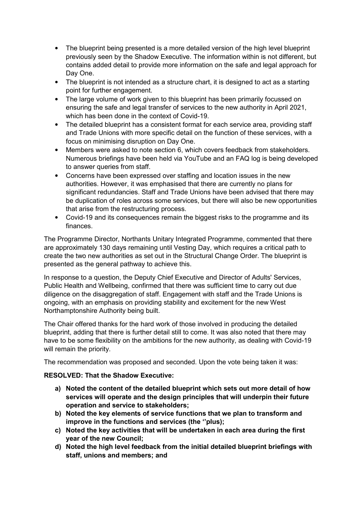- The blueprint being presented is a more detailed version of the high level blueprint previously seen by the Shadow Executive. The information within is not different, but contains added detail to provide more information on the safe and legal approach for Day One.
- The blueprint is not intended as a structure chart, it is designed to act as a starting point for further engagement.
- The large volume of work given to this blueprint has been primarily focussed on ensuring the safe and legal transfer of services to the new authority in April 2021, which has been done in the context of Covid-19.
- The detailed blueprint has a consistent format for each service area, providing staff and Trade Unions with more specific detail on the function of these services, with a focus on minimising disruption on Day One.
- Members were asked to note section 6, which covers feedback from stakeholders. Numerous briefings have been held via YouTube and an FAQ log is being developed to answer queries from staff.
- Concerns have been expressed over staffing and location issues in the new authorities. However, it was emphasised that there are currently no plans for significant redundancies. Staff and Trade Unions have been advised that there may be duplication of roles across some services, but there will also be new opportunities that arise from the restructuring process.
- Covid-19 and its consequences remain the biggest risks to the programme and its finances.

The Programme Director, Northants Unitary Integrated Programme, commented that there are approximately 130 days remaining until Vesting Day, which requires a critical path to create the two new authorities as set out in the Structural Change Order. The blueprint is presented as the general pathway to achieve this.

In response to a question, the Deputy Chief Executive and Director of Adults' Services, Public Health and Wellbeing, confirmed that there was sufficient time to carry out due diligence on the disaggregation of staff. Engagement with staff and the Trade Unions is ongoing, with an emphasis on providing stability and excitement for the new West Northamptonshire Authority being built.

The Chair offered thanks for the hard work of those involved in producing the detailed blueprint, adding that there is further detail still to come. It was also noted that there may have to be some flexibility on the ambitions for the new authority, as dealing with Covid-19 will remain the priority.

The recommendation was proposed and seconded. Upon the vote being taken it was:

## **RESOLVED: That the Shadow Executive:**

- **a) Noted the content of the detailed blueprint which sets out more detail of how services will operate and the design principles that will underpin their future operation and service to stakeholders;**
- **b) Noted the key elements of service functions that we plan to transform and improve in the functions and services (the ''plus);**
- **c) Noted the key activities that will be undertaken in each area during the first year of the new Council;**
- **d) Noted the high level feedback from the initial detailed blueprint briefings with staff, unions and members; and**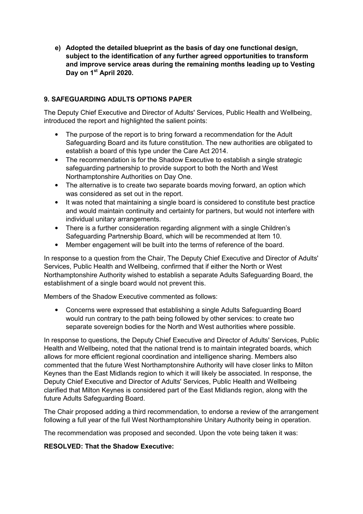**e) Adopted the detailed blueprint as the basis of day one functional design, subject to the identification of any further agreed opportunities to transform and improve service areas during the remaining months leading up to Vesting Day on 1st April 2020.** 

## **9. SAFEGUARDING ADULTS OPTIONS PAPER**

The Deputy Chief Executive and Director of Adults' Services, Public Health and Wellbeing, introduced the report and highlighted the salient points:

- The purpose of the report is to bring forward a recommendation for the Adult Safeguarding Board and its future constitution. The new authorities are obligated to establish a board of this type under the Care Act 2014.
- The recommendation is for the Shadow Executive to establish a single strategic safeguarding partnership to provide support to both the North and West Northamptonshire Authorities on Day One.
- The alternative is to create two separate boards moving forward, an option which was considered as set out in the report.
- It was noted that maintaining a single board is considered to constitute best practice and would maintain continuity and certainty for partners, but would not interfere with individual unitary arrangements.
- There is a further consideration regarding alignment with a single Children's Safeguarding Partnership Board, which will be recommended at Item 10.
- Member engagement will be built into the terms of reference of the board.

In response to a question from the Chair, The Deputy Chief Executive and Director of Adults' Services, Public Health and Wellbeing, confirmed that if either the North or West Northamptonshire Authority wished to establish a separate Adults Safeguarding Board, the establishment of a single board would not prevent this.

Members of the Shadow Executive commented as follows:

• Concerns were expressed that establishing a single Adults Safeguarding Board would run contrary to the path being followed by other services: to create two separate sovereign bodies for the North and West authorities where possible.

In response to questions, the Deputy Chief Executive and Director of Adults' Services, Public Health and Wellbeing, noted that the national trend is to maintain integrated boards, which allows for more efficient regional coordination and intelligence sharing. Members also commented that the future West Northamptonshire Authority will have closer links to Milton Keynes than the East Midlands region to which it will likely be associated. In response, the Deputy Chief Executive and Director of Adults' Services, Public Health and Wellbeing clarified that Milton Keynes is considered part of the East Midlands region, along with the future Adults Safeguarding Board.

The Chair proposed adding a third recommendation, to endorse a review of the arrangement following a full year of the full West Northamptonshire Unitary Authority being in operation.

The recommendation was proposed and seconded. Upon the vote being taken it was:

#### **RESOLVED: That the Shadow Executive:**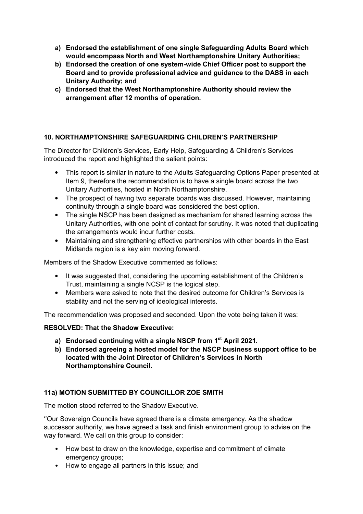- **a) Endorsed the establishment of one single Safeguarding Adults Board which would encompass North and West Northamptonshire Unitary Authorities;**
- **b) Endorsed the creation of one system-wide Chief Officer post to support the Board and to provide professional advice and guidance to the DASS in each Unitary Authority; and**
- **c) Endorsed that the West Northamptonshire Authority should review the arrangement after 12 months of operation.**

## **10. NORTHAMPTONSHIRE SAFEGUARDING CHILDREN'S PARTNERSHIP**

The Director for Children's Services, Early Help, Safeguarding & Children's Services introduced the report and highlighted the salient points:

- This report is similar in nature to the Adults Safeguarding Options Paper presented at Item 9, therefore the recommendation is to have a single board across the two Unitary Authorities, hosted in North Northamptonshire.
- The prospect of having two separate boards was discussed. However, maintaining continuity through a single board was considered the best option.
- The single NSCP has been designed as mechanism for shared learning across the Unitary Authorities, with one point of contact for scrutiny. It was noted that duplicating the arrangements would incur further costs.
- Maintaining and strengthening effective partnerships with other boards in the East Midlands region is a key aim moving forward.

Members of the Shadow Executive commented as follows:

- It was suggested that, considering the upcoming establishment of the Children's Trust, maintaining a single NCSP is the logical step.
- Members were asked to note that the desired outcome for Children's Services is stability and not the serving of ideological interests.

The recommendation was proposed and seconded. Upon the vote being taken it was:

## **RESOLVED: That the Shadow Executive:**

- **a) Endorsed continuing with a single NSCP from 1st April 2021.**
- **b) Endorsed agreeing a hosted model for the NSCP business support office to be located with the Joint Director of Children's Services in North Northamptonshire Council.**

## **11a) MOTION SUBMITTED BY COUNCILLOR ZOE SMITH**

The motion stood referred to the Shadow Executive.

''Our Sovereign Councils have agreed there is a climate emergency. As the shadow successor authority, we have agreed a task and finish environment group to advise on the way forward. We call on this group to consider:

- How best to draw on the knowledge, expertise and commitment of climate emergency groups;
- How to engage all partners in this issue; and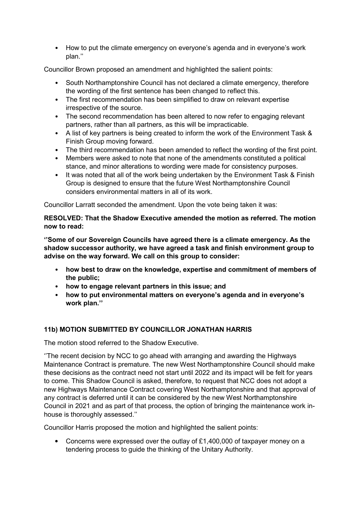• How to put the climate emergency on everyone's agenda and in everyone's work plan.''

Councillor Brown proposed an amendment and highlighted the salient points:

- South Northamptonshire Council has not declared a climate emergency, therefore the wording of the first sentence has been changed to reflect this.
- The first recommendation has been simplified to draw on relevant expertise irrespective of the source.
- The second recommendation has been altered to now refer to engaging relevant partners, rather than all partners, as this will be impracticable.
- A list of key partners is being created to inform the work of the Environment Task & Finish Group moving forward.
- The third recommendation has been amended to reflect the wording of the first point.
- Members were asked to note that none of the amendments constituted a political stance, and minor alterations to wording were made for consistency purposes.
- It was noted that all of the work being undertaken by the Environment Task & Finish Group is designed to ensure that the future West Northamptonshire Council considers environmental matters in all of its work.

Councillor Larratt seconded the amendment. Upon the vote being taken it was:

### **RESOLVED: That the Shadow Executive amended the motion as referred. The motion now to read:**

**''Some of our Sovereign Councils have agreed there is a climate emergency. As the shadow successor authority, we have agreed a task and finish environment group to advise on the way forward. We call on this group to consider:** 

- **how best to draw on the knowledge, expertise and commitment of members of the public;**
- **how to engage relevant partners in this issue; and**
- **how to put environmental matters on everyone's agenda and in everyone's work plan.''**

## **11b) MOTION SUBMITTED BY COUNCILLOR JONATHAN HARRIS**

The motion stood referred to the Shadow Executive.

''The recent decision by NCC to go ahead with arranging and awarding the Highways Maintenance Contract is premature. The new West Northamptonshire Council should make these decisions as the contract need not start until 2022 and its impact will be felt for years to come. This Shadow Council is asked, therefore, to request that NCC does not adopt a new Highways Maintenance Contract covering West Northamptonshire and that approval of any contract is deferred until it can be considered by the new West Northamptonshire Council in 2021 and as part of that process, the option of bringing the maintenance work inhouse is thoroughly assessed.''

Councillor Harris proposed the motion and highlighted the salient points:

• Concerns were expressed over the outlay of £1,400,000 of taxpayer money on a tendering process to guide the thinking of the Unitary Authority.